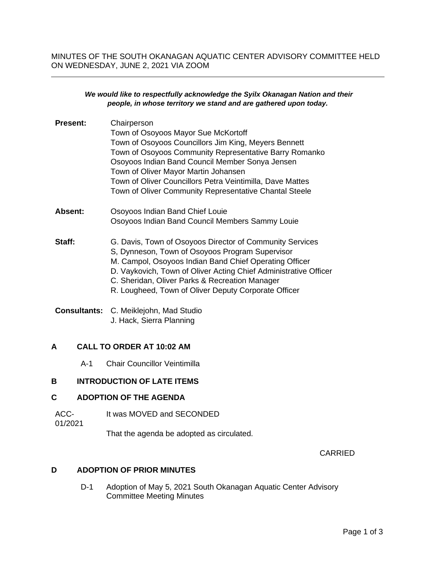MINUTES OF THE SOUTH OKANAGAN AQUATIC CENTER ADVISORY COMMITTEE HELD ON WEDNESDAY, JUNE 2, 2021 VIA ZOOM

#### *We would like to respectfully acknowledge the Syilx Okanagan Nation and their people, in whose territory we stand and are gathered upon today.*

| <b>Present:</b> | Chairperson                                                      |
|-----------------|------------------------------------------------------------------|
|                 | Town of Osoyoos Mayor Sue McKortoff                              |
|                 | Town of Osoyoos Councillors Jim King, Meyers Bennett             |
|                 | Town of Osoyoos Community Representative Barry Romanko           |
|                 | Osoyoos Indian Band Council Member Sonya Jensen                  |
|                 | Town of Oliver Mayor Martin Johansen                             |
|                 | Town of Oliver Councillors Petra Veintimilla, Dave Mattes        |
|                 | Town of Oliver Community Representative Chantal Steele           |
| Absent:         | Osoyoos Indian Band Chief Louie                                  |
|                 | Osoyoos Indian Band Council Members Sammy Louie                  |
| Staff:          | G. Davis, Town of Osoyoos Director of Community Services         |
|                 | S, Dynneson, Town of Osoyoos Program Supervisor                  |
|                 | M. Campol, Osoyoos Indian Band Chief Operating Officer           |
|                 | D. Vaykovich, Town of Oliver Acting Chief Administrative Officer |
|                 | C. Sheridan, Oliver Parks & Recreation Manager                   |
|                 | R. Lougheed, Town of Oliver Deputy Corporate Officer             |
|                 |                                                                  |

#### **Consultants:** C. Meiklejohn, Mad Studio J. Hack, Sierra Planning

#### **A CALL TO ORDER AT 10:02 AM**

A-1 Chair Councillor Veintimilla

## **B INTRODUCTION OF LATE ITEMS**

### **C ADOPTION OF THE AGENDA**

ACC-It was MOVED and SECONDED

01/2021

That the agenda be adopted as circulated.

CARRIED

#### **D ADOPTION OF PRIOR MINUTES**

D-1 Adoption of May 5, 2021 South Okanagan Aquatic Center Advisory Committee Meeting Minutes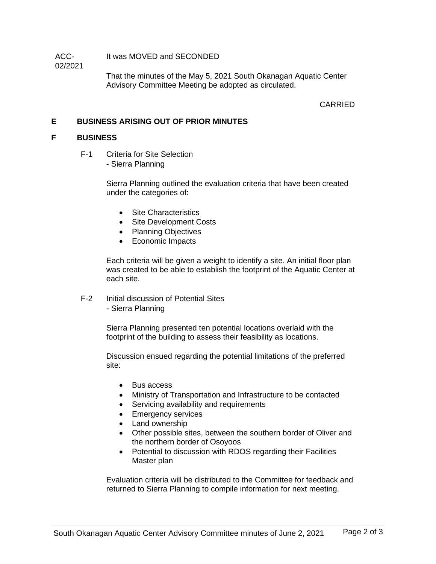ACC-02/2021 It was MOVED and SECONDED

> That the minutes of the May 5, 2021 South Okanagan Aquatic Center Advisory Committee Meeting be adopted as circulated.

> > CARRIED

## **E BUSINESS ARISING OUT OF PRIOR MINUTES**

### **F BUSINESS**

F-1 Criteria for Site Selection - Sierra Planning

> Sierra Planning outlined the evaluation criteria that have been created under the categories of:

- Site Characteristics
- Site Development Costs
- Planning Objectives
- Economic Impacts

Each criteria will be given a weight to identify a site. An initial floor plan was created to be able to establish the footprint of the Aquatic Center at each site.

- F-2 Initial discussion of Potential Sites
	- Sierra Planning

Sierra Planning presented ten potential locations overlaid with the footprint of the building to assess their feasibility as locations.

Discussion ensued regarding the potential limitations of the preferred site:

- Bus access
- Ministry of Transportation and Infrastructure to be contacted
- Servicing availability and requirements
- Emergency services
- Land ownership
- Other possible sites, between the southern border of Oliver and the northern border of Osoyoos
- Potential to discussion with RDOS regarding their Facilities Master plan

Evaluation criteria will be distributed to the Committee for feedback and returned to Sierra Planning to compile information for next meeting.